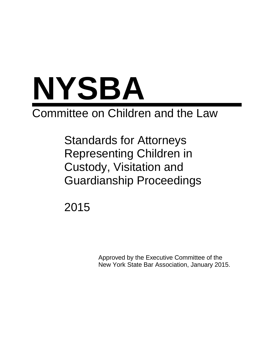

# Committee on Children and the Law

Standards for Attorneys Representing Children in Custody, Visitation and Guardianship Proceedings

2015

Approved by the Executive Committee of the New York State Bar Association, January 2015.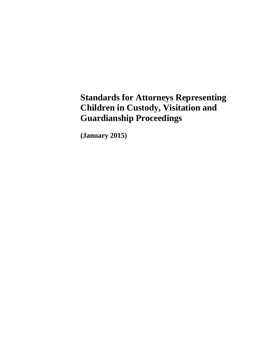# **Standards for Attorneys Representing Children in Custody, Visitation and Guardianship Proceedings**

**(January 2015)**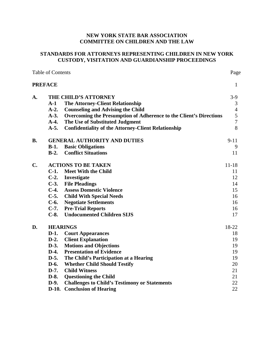# NEW YORK STATE BAR ASSOCIATION **COMMITTEE ON CHILDREN AND THE LAW**

# STANDARDS FOR ATTORNEYS REPRESENTING CHILDREN IN NEW YORK **CUSTODY, VISITATION AND GUARDIANSHIP PROCEEDINGS**

Page

Table of Contents

|         |                                                                    | ے                                                                                                                                                                                                                                                                                                                                                                          |
|---------|--------------------------------------------------------------------|----------------------------------------------------------------------------------------------------------------------------------------------------------------------------------------------------------------------------------------------------------------------------------------------------------------------------------------------------------------------------|
|         |                                                                    | $\mathbf{1}$                                                                                                                                                                                                                                                                                                                                                               |
|         |                                                                    | $3-9$                                                                                                                                                                                                                                                                                                                                                                      |
| $A-1$   | <b>The Attorney-Client Relationship</b>                            | 3                                                                                                                                                                                                                                                                                                                                                                          |
| $A-2.$  | <b>Counseling and Advising the Child</b>                           | $\overline{4}$                                                                                                                                                                                                                                                                                                                                                             |
| $A-3.$  | Overcoming the Presumption of Adherence to the Client's Directions | $\sqrt{5}$                                                                                                                                                                                                                                                                                                                                                                 |
| $A-4.$  | The Use of Substituted Judgment                                    | $\overline{7}$                                                                                                                                                                                                                                                                                                                                                             |
| $A-5.$  |                                                                    | 8                                                                                                                                                                                                                                                                                                                                                                          |
|         |                                                                    | $9 - 11$                                                                                                                                                                                                                                                                                                                                                                   |
| $B-1.$  | <b>Basic Obligations</b>                                           | 9                                                                                                                                                                                                                                                                                                                                                                          |
|         | <b>Conflict Situations</b>                                         | 11                                                                                                                                                                                                                                                                                                                                                                         |
|         |                                                                    | $11 - 18$                                                                                                                                                                                                                                                                                                                                                                  |
| $C-1$ . | <b>Meet With the Child</b>                                         | 11                                                                                                                                                                                                                                                                                                                                                                         |
|         |                                                                    | 12                                                                                                                                                                                                                                                                                                                                                                         |
|         | <b>File Pleadings</b>                                              | 14                                                                                                                                                                                                                                                                                                                                                                         |
|         | <b>Assess Domestic Violence</b>                                    | 15                                                                                                                                                                                                                                                                                                                                                                         |
|         | <b>Child With Special Needs</b>                                    | 16                                                                                                                                                                                                                                                                                                                                                                         |
|         | <b>Negotiate Settlements</b>                                       | 16                                                                                                                                                                                                                                                                                                                                                                         |
|         |                                                                    | 16                                                                                                                                                                                                                                                                                                                                                                         |
| $C-8.$  | <b>Undocumented Children SIJS</b>                                  | 17                                                                                                                                                                                                                                                                                                                                                                         |
|         |                                                                    | 18-22                                                                                                                                                                                                                                                                                                                                                                      |
| $D-1.$  | <b>Court Appearances</b>                                           | 18                                                                                                                                                                                                                                                                                                                                                                         |
| $D-2$ . | <b>Client Explanation</b>                                          | 19                                                                                                                                                                                                                                                                                                                                                                         |
|         |                                                                    | 19                                                                                                                                                                                                                                                                                                                                                                         |
| $D-4.$  | <b>Presentation of Evidence</b>                                    | 19                                                                                                                                                                                                                                                                                                                                                                         |
| $D-5.$  |                                                                    | 19                                                                                                                                                                                                                                                                                                                                                                         |
| $D-6.$  | <b>Whether Child Should Testify</b>                                | 20                                                                                                                                                                                                                                                                                                                                                                         |
| $D-7.$  | <b>Child Witness</b>                                               | 21                                                                                                                                                                                                                                                                                                                                                                         |
| $D-8.$  | <b>Questioning the Child</b>                                       | 21                                                                                                                                                                                                                                                                                                                                                                         |
| $D-9.$  | <b>Challenges to Child's Testimony or Statements</b>               | 22                                                                                                                                                                                                                                                                                                                                                                         |
|         | <b>Conclusion of Hearing</b>                                       | 22                                                                                                                                                                                                                                                                                                                                                                         |
|         | <b>PREFACE</b><br>$D-3.$                                           | THE CHILD'S ATTORNEY<br><b>Confidentiality of the Attorney-Client Relationship</b><br><b>GENERAL AUTHORITY AND DUTIES</b><br>$B-2$ .<br><b>ACTIONS TO BE TAKEN</b><br>C-2. Investigate<br>$C-3$ .<br>$C-4.$<br>$C-5$ .<br>$C-6.$<br><b>C-7.</b> Pre-Trial Reports<br><b>HEARINGS</b><br><b>Motions and Objections</b><br>The Child's Participation at a Hearing<br>$D-10.$ |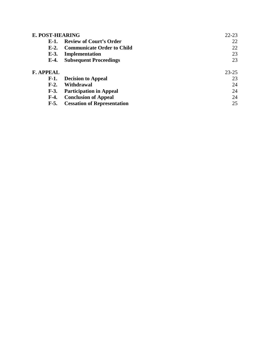| E. POST-HEARING  |                                    | 22-23     |
|------------------|------------------------------------|-----------|
| $E-1$ .          | <b>Review of Court's Order</b>     | 22        |
| $E-2$ .          | Communicate Order to Child         | 22        |
| $E-3$ .          | Implementation                     | 23        |
| $E-4.$           | <b>Subsequent Proceedings</b>      | 23        |
| <b>F. APPEAL</b> |                                    | $23 - 25$ |
| $F-1.$           | <b>Decision to Appeal</b>          | 23        |
| $F-2.$           | Withdrawal                         | 24        |
| $F-3.$           | <b>Participation in Appeal</b>     | 24        |
| $F-4.$           | <b>Conclusion of Appeal</b>        | 24        |
| $F-5.$           | <b>Cessation of Representation</b> | 25        |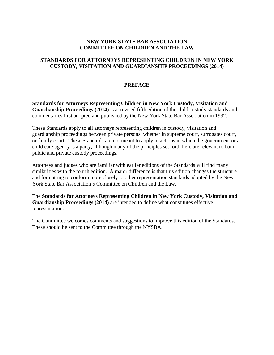# **NEW YORK STATE BAR ASSOCIATION COMMITTEE ON CHILDREN AND THE LAW**

# **STANDARDS FOR ATTORNEYS REPRESENTING CHILDREN IN NEW YORK CUSTODY, VISITATION AND GUARDIANSHIP PROCEEDINGS (2014)**

# **PREFACE**

**Standards for Attorneys Representing Children in New York Custody, Visitation and Guardianship Proceedings (2014)** is a revised fifth edition of the child custody standards and commentaries first adopted and published by the New York State Bar Association in 1992.

These Standards apply to all attorneys representing children in custody, visitation and guardianship proceedings between private persons, whether in supreme court, surrogates court, or family court. These Standards are not meant to apply to actions in which the government or a child care agency is a party, although many of the principles set forth here are relevant to both public and private custody proceedings.

Attorneys and judges who are familiar with earlier editions of the Standards will find many similarities with the fourth edition. A major difference is that this edition changes the structure and formatting to conform more closely to other representation standards adopted by the New York State Bar Association's Committee on Children and the Law.

The **Standards for Attorneys Representing Children in New York Custody, Visitation and Guardianship Proceedings (2014)** are intended to define what constitutes effective representation.

The Committee welcomes comments and suggestions to improve this edition of the Standards. These should be sent to the Committee through the NYSBA.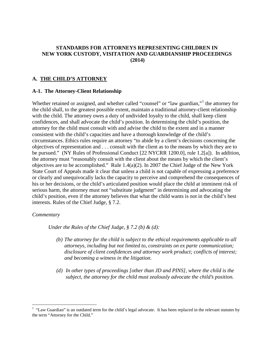## **STANDARDS FOR ATTORNEYS REPRESENTING CHILDREN IN NEW YORK CUSTODY, VISITATION AND GUARDIANSHIP PROCEEDINGS (2014)**

# **A. THE CHILD'S ATTORNEY**

#### **A-1. The Attorney-Client Relationship**

Whether retained or assigned, and whether called "counsel" or "law guardian,"<sup>[1](#page-8-0)</sup> the attorney for the child shall, to the greatest possible extent, maintain a traditional attorney-client relationship with the child. The attorney owes a duty of undivided loyalty to the child, shall keep client confidences, and shall advocate the child's position. In determining the child's position, the attorney for the child must consult with and advise the child to the extent and in a manner consistent with the child's capacities and have a thorough knowledge of the child's circumstances. Ethics rules require an attorney "to abide by a client's decisions concerning the objectives of representation and . . . consult with the client as to the means by which they are to be pursued." (NY Rules of Professional Conduct [22 NYCRR 1200.0], rule 1.2[a]).In addition, the attorney must "reasonably consult with the client about the means by which the client's objectives are to be accomplished." Rule 1.4(a)(2). In 2007 the Chief Judge of the New York State Court of Appeals made it clear that unless a child is not capable of expressing a preference or clearly and unequivocally lacks the capacity to perceive and comprehend the consequences of his or her decisions, or the child's articulated position would place the child at imminent risk of serious harm, the attorney must not "substitute judgment" in determining and advocating the child's position, even if the attorney believes that what the child wants is not in the child's best interests. Rules of the Chief Judge, § 7.2.

#### *Commentary*

 $\overline{a}$ 

*Under the Rules of the Chief Judge, § 7.2 (b) & (d):*

- *(b) The attorney for the child is subject to the ethical requirements applicable to all attorneys, including but not limited to, constraints on ex parte communication; disclosure of client confidences and attorney work product; conflicts of interest; and becoming a witness in the litigation.*
- *(d) In other types of proceedings [other than JD and PINS], where the child is the subject, the attorney for the child must zealously advocate the child's position.*

<span id="page-8-0"></span> $<sup>1</sup>$  "Law Guardian" is an outdated term for the child's legal advocate. It has been replaced in the relevant statutes by</sup> the term "Attorney for the Child."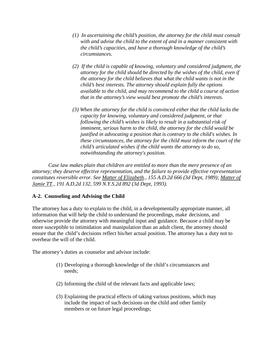- *(1) In ascertaining the child's position, the attorney for the child must consult with and advise the child to the extent of and in a manner consistent with the child's capacities, and have a thorough knowledge of the child's circumstances.*
- *(2) If the child is capable of knowing, voluntary and considered judgment, the attorney for the child should be directed by the wishes of the child, even if the attorney for the child believes that what the child wants is not in the child's best interests. The attorney should explain fully the options available to the child, and may recommend to the child a course of action that in the attorney's view would best promote the child's interests.*
- *(3) When the attorney for the child is convinced either that the child lacks the capacity for knowing, voluntary and considered judgment, or that following the child's wishes is likely to result in a substantial risk of imminent, serious harm to the child, the attorney for the child would be justified in advocating a position that is contrary to the child's wishes. In these circumstances, the attorney for the child must inform the court of the child's articulated wishes if the child wants the attorney to do so, notwithstanding the attorney's position.*

*Case law makes plain that children are entitled to more than the mere presence of an attorney; they deserve effective representation, and the failure to provide effective representation constitutes reversible error. See Matter of Elizabeth., 155 A.D.2d 666 (3d Dept, 1989); Matter of Jamie TT., 191 A.D.2d 132, 599 N.Y.S.2d 892 (3d Dept, 1993).*

# **A-2. Counseling and Advising the Child**

The attorney has a duty to explain to the child, in a developmentally appropriate manner, all information that will help the child to understand the proceedings, make decisions, and otherwise provide the attorney with meaningful input and guidance. Because a child may be more susceptible to intimidation and manipulation than an adult client, the attorney should ensure that the child's decisions reflect his/her actual position. The attorney has a duty not to overbear the will of the child.

The attorney's duties as counselor and advisor include:

- (1) Developing a thorough knowledge of the child's circumstances and needs;
- (2) Informing the child of the relevant facts and applicable laws;
- (3) Explaining the practical effects of taking various positions, which may include the impact of such decisions on the child and other family members or on future legal proceedings;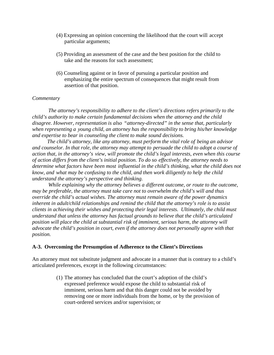- (4) Expressing an opinion concerning the likelihood that the court will accept particular arguments;
- (5) Providing an assessment of the case and the best position for the child to take and the reasons for such assessment;
- (6) Counseling against or in favor of pursuing a particular position and emphasizing the entire spectrum of consequences that might result from assertion of that position.

*The attorney's responsibility to adhere to the client's directions refers primarily to the child's authority to make certain fundamental decisions when the attorney and the child disagree. However, representation is also "attorney-directed" in the sense that, particularly when representing a young child, an attorney has the responsibility to bring his/her knowledge and expertise to bear in counseling the client to make sound decisions.*

 *The child's attorney, like any attorney, must perform the vital role of being an advisor and counselor. In that role, the attorney may attempt to persuade the child to adopt a course of action that, in the attorney's view, will promote the child's legal interests, even when this course of action differs from the client's initial position. To do so effectively, the attorney needs to determine what factors have been most influential in the child's thinking, what the child does not know, and what may be confusing to the child, and then work diligently to help the child understand the attorney's perspective and thinking.*

 *While explaining why the attorney believes a different outcome, or route to the outcome, may be preferable, the attorney must take care not to overwhelm the child's will and thus override the child's actual wishes. The attorney must remain aware of the power dynamics inherent in adult/child relationships and remind the child that the attorney's role is to assist clients in achieving their wishes and protecting their legal interests. Ultimately, the child must understand that unless the attorney has factual grounds to believe that the child's articulated position will place the child at substantial risk of imminent, serious harm, the attorney will advocate the child's position in court, even if the attorney does not personally agree with that position.*

#### **A-3. Overcoming the Presumption of Adherence to the Client's Directions**

An attorney must not substitute judgment and advocate in a manner that is contrary to a child's articulated preferences, except in the following circumstances:

> (1) The attorney has concluded that the court's adoption of the child's expressed preference would expose the child to substantial risk of imminent, serious harm and that this danger could not be avoided by removing one or more individuals from the home, or by the provision of court-ordered services and/or supervision; or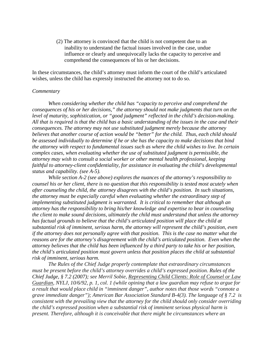(2) The attorney is convinced that the child is not competent due to an inability to understand the factual issues involved in the case, undue influence or clearly and unequivocally lacks the capacity to perceive and comprehend the consequences of his or her decisions.

In these circumstances, the child's attorney must inform the court of the child's articulated wishes, unless the child has expressly instructed the attorney not to do so.

#### *Commentary*

*When considering whether the child has "capacity to perceive and comprehend the consequences of his or her decisions," the attorney should not make judgments that turn on the level of maturity, sophistication, or "good judgment" reflected in the child's decision-making. All that is required is that the child has a basic understanding of the issues in the case and their consequences. The attorney may not use substituted judgment merely because the attorney believes that another course of action would be "better" for the child. Thus, each child should be assessed individually to determine if he or she has the capacity to make decisions that bind the attorney with respect to fundamental issues such as where the child wishes to live. In certain complex cases, when evaluating whether the use of substituted judgment is permissible, the attorney may wish to consult a social worker or other mental health professional, keeping faithful to attorney-client confidentiality, for assistance in evaluating the child's developmental status and capability. (see A-5).*

*While section A-2 (see above) explores the nuances of the attorney's responsibility to counsel his or her client, there is no question that this responsibility is tested most acutely when after counseling the child, the attorney disagrees with the child's position. In such situations, the attorney must be especially careful when evaluating whether the extraordinary step of implementing substituted judgment is warranted. It is critical to remember that although an attorney has the responsibility to bring his/her knowledge and expertise to bear in counseling the client to make sound decisions, ultimately the child must understand that unless the attorney has factual grounds to believe that the child's articulated position will place the child at substantial risk of imminent, serious harm, the attorney will represent the child's position, even if the attorney does not personally agree with that position. This is the case no matter what the reasons are for the attorney's disagreement with the child's articulated position. Even when the attorney believes that the child has been influenced by a third party to take his or her position, the child's articulated position must govern unless that position places the child at substantial risk of imminent, serious harm.*

*The Rules of the Chief Judge properly contemplate that extraordinary circumstances must be present before the child's attorney overrides a child's expressed position. Rules of the Chief Judge, § 7.2 (2007); see Merril Sobie, Representing Child Clients: Role of Counsel or Law Guardian, NYLJ, 10/6/92, p. 1, col. 1 (while opining that a law guardian may refuse to argue for a result that would place child in "imminent danger", author notes that those words "connote a grave immediate danger"); American Bar Association Standard B-4(3). The language of § 7.2 is consistent with the prevailing view that the attorney for the child should only consider overriding the child's expressed position when a substantial risk of imminent serious physical harm is present. Therefore, although it is conceivable that there might be circumstances where an*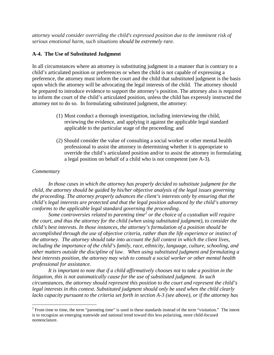*attorney would consider overriding the child's expressed position due to the imminent risk of serious emotional harm, such situations should be extremely rare.*

# **A-4. The Use of Substituted Judgment**

In all circumstances where an attorney is substituting judgment in a manner that is contrary to a child's articulated position or preferences or when the child is not capable of expressing a preference, the attorney must inform the court and the child that substituted judgment is the basis upon which the attorney will be advocating the legal interests of the child. The attorney should be prepared to introduce evidence to support the attorney's position. The attorney also is required to inform the court of the child's articulated position, unless the child has expressly instructed the attorney not to do so. In formulating substituted judgment, the attorney:

- (1) Must conduct a thorough investigation, including interviewing the child, reviewing the evidence, and applying it against the applicable legal standard applicable to the particular stage of the proceeding; and
- (2) Should consider the value of consulting a social worker or other mental health professional to assist the attorney in determining whether it is appropriate to override the child's articulated position and/or to assist the attorney in formulating a legal position on behalf of a child who is not competent (see A-3).

# *Commentary*

*In those cases in which the attorney has properly decided to substitute judgment for the child, the attorney should be guided by his/her objective analysis of the legal issues governing the proceeding. The attorney properly advances the client's interests only by ensuring that the child's legal interests are protected and that the legal position advanced by the child's attorney conforms to the applicable legal standard governing the proceeding.*

*Some controversies related to parenting time[2](#page-12-0) or the choice of a custodian will require the court, and thus the attorney for the child (when using substituted judgment), to consider the child's best interests. In those instances, the attorney's formulation of a position should be accomplished through the use of objective criteria, rather than the life experience or instinct of the attorney. The attorney should take into account the full context in which the client lives, including the importance of the child's family, race, ethnicity, language, culture, schooling, and other matters outside the discipline of law. When using substituted judgment and formulating a best interests position, the attorney may wish to consult a social worker or other mental health professional for assistance.*

*It is important to note that if a child affirmatively chooses not to take a position in the litigation, this is not automatically cause for the use of substituted judgment. In such circumstances, the attorney should represent this position to the court and represent the child's legal interests in this context. Substituted judgment should only be used when the child clearly lacks capacity pursuant to the criteria set forth in section A-3 (see above), or if the attorney has* 

<span id="page-12-0"></span> $2$  From time to time, the term "parenting time" is used in these standards instead of the term "visitation." The intent is to recognize an emerging statewide and national trend toward this less polarizing, more child-focused nomenclature.  $\overline{a}$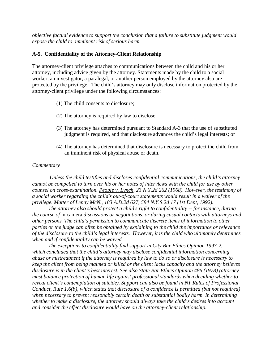*objective factual evidence to support the conclusion that a failure to substitute judgment would expose the child to imminent risk of serious harm.*

# **A-5. Confidentiality of the Attorney-Client Relationship**

The attorney-client privilege attaches to communications between the child and his or her attorney, including advice given by the attorney. Statements made by the child to a social worker, an investigator, a paralegal, or another person employed by the attorney also are protected by the privilege. The child's attorney may only disclose information protected by the attorney-client privilege under the following circumstances:

- (1) The child consents to disclosure;
- (2) The attorney is required by law to disclose;
- (3) The attorney has determined pursuant to Standard A-3 that the use of substituted judgment is required, and that disclosure advances the child's legal interests; or
- (4) The attorney has determined that disclosure is necessary to protect the child from an imminent risk of physical abuse or death.

# *Commentary*

*Unless the child testifies and discloses confidential communications, the child's attorney cannot be compelled to turn over his or her notes of interviews with the child for use by other counsel on cross-examination. People v. Lynch, 23 N.Y.2d 262 (1968). However, the testimony of a social worker regarding the child's out-of-court statements would result in a waiver of the privilege. Matter of Lenny McN., 183 A.D.2d 627, 584 N.Y.S.2d 17 (1st Dept, 1992).* 

*The attorney also should protect a child's right to confidentiality -- for instance, during the course of* in camera *discussions or negotiations, or during casual contacts with attorneys and other persons. The child's permission to communicate discrete items of information to other parties or the judge can often be obtained by explaining to the child the importance or relevance of the disclosure to the child's legal interests. However, it is the child who ultimately determines when and if confidentiality can be waived.*

*The exceptions to confidentiality find support in City Bar Ethics Opinion 1997-2, which concluded that the child's attorney may disclose confidential information concerning abuse or mistreatment if the attorney is required by law to do so or disclosure is necessary to keep the client from being maimed or killed or the client lacks capacity and the attorney believes disclosure is in the client's best interest. See also State Bar Ethics Opinion 486 (1978) (attorney must balance protection of human life against professional standards when deciding whether to reveal client's contemplation of suicide). Support can also be found in NY Rules of Professional Conduct, Rule 1.6(b), which states that disclosure of a confidence is permitted (but not required) when necessary to prevent reasonably certain death or substantial bodily harm. In determining whether to make a disclosure, the attorney should always take the child's desires into account and consider the effect disclosure would have on the attorney-client relationship.*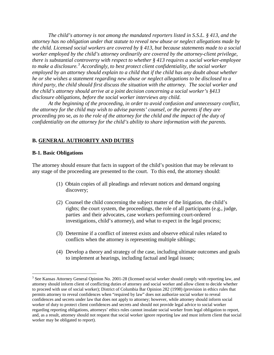*The child's attorney is not among the mandated reporters listed in S.S.L. § 413, and the attorney has no obligation under that statute to reveal new abuse or neglect allegations made by the child. Licensed social workers are covered by § 413, but because statements made to a social worker employed by the child's attorney ordinarily are covered by the attorney-client privilege, there is substantial controversy with respect to whether § 413 requires a social worker-employee to make a disclosure.[3](#page-14-0) Accordingly, to best protect client confidentiality, the social worker employed by an attorney should explain to a child that if the child has any doubt about whether he or she wishes a statement regarding new abuse or neglect allegations to be disclosed to a third party, the child should first discuss the situation with the attorney. The social worker and the child's attorney should arrive at a joint decision concerning a social worker's §413 disclosure obligations, before the social worker interviews any child.* 

*At the beginning of the proceeding, in order to avoid confusion and unnecessary conflict, the attorney for the child may wish to advise parents' counsel, or the parents if they are proceeding* pro se*, as to the role of the attorney for the child and the impact of the duty of confidentiality on the attorney for the child's ability to share information with the parents.* 

#### **B. GENERAL AUTHORITY AND DUTIES**

#### **B-1. Basic Obligations**

 $\overline{a}$ 

The attorney should ensure that facts in support of the child's position that may be relevant to any stage of the proceeding are presented to the court. To this end, the attorney should:

- (1) Obtain copies of all pleadings and relevant notices and demand ongoing discovery;
- (2) Counsel the child concerning the subject matter of the litigation, the child's rights; the court system, the proceedings, the role of all participants (e.g., judge, parties and their advocates, case workers performing court-ordered investigations, child's attorney), and what to expect in the legal process;
- (3) Determine if a conflict of interest exists and observe ethical rules related to conflicts when the attorney is representing multiple siblings;
- (4) Develop a theory and strategy of the case, including ultimate outcomes and goals to implement at hearings, including factual and legal issues;

<span id="page-14-0"></span> $3$  See Kansas Attorney General Opinion No. 2001-28 (licensed social worker should comply with reporting law, and attorney should inform client of conflicting duties of attorney and social worker and allow client to decide whether to proceed with use of social worker); District of Columbia Bar Opinion 282 (1998) (provision in ethics rules that permits attorney to reveal confidences when "required by law" does not authorize social worker to reveal confidences and secrets under law that does not apply to attorney; however, while attorney should inform social worker of duty to protect client confidences and secrets and should not provide legal advice to social worker regarding reporting obligations, attorneys' ethics rules cannot insulate social worker from legal obligation to report, and, as a result, attorney should not request that social worker ignore reporting law and must inform client that social worker may be obligated to report).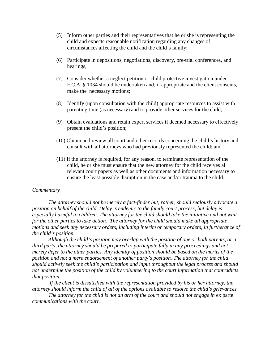- (5) Inform other parties and their representatives that he or she is representing the child and expects reasonable notification regarding any changes of circumstances affecting the child and the child's family;
- (6) Participate in depositions, negotiations, discovery, pre-trial conferences, and hearings;
- (7) Consider whether a neglect petition or child protective investigation under F.C.A. § 1034 should be undertaken and, if appropriate and the client consents, make the necessary motions;
- (8) Identify (upon consultation with the child) appropriate resources to assist with parenting time (as necessary) and to provide other services for the child;
- (9) Obtain evaluations and retain expert services if deemed necessary to effectively present the child's position;
- (10) Obtain and review all court and other records concerning the child's history and consult with all attorneys who had previously represented the child; and
- (11) If the attorney is required, for any reason, to terminate representation of the child, he or she must ensure that the new attorney for the child receives all relevant court papers as well as other documents and information necessary to ensure the least possible disruption in the case and/or trauma to the child.

*The attorney should not be merely a fact-finder but, rather, should zealously advocate a position on behalf of the child. Delay is endemic to the family court process, but delay is especially harmful to children. The attorney for the child should take the initiative and not wait for the other parties to take action. The attorney for the child should make all appropriate motions and seek any necessary orders, including interim or temporary orders, in furtherance of the child's position.*

*Although the child's position may overlap with the position of one or both parents, or a third party, the attorney should be prepared to participate fully in any proceedings and not merely defer to the other parties. Any identity of position should be based on the merits of the position and not a mere endorsement of another party's position. The attorney for the child should actively seek the child's participation and input throughout the legal process and should not undermine the position of the child by volunteering to the court information that contradicts that position.*

*If the client is dissatisfied with the representation provided by his or her attorney, the attorney should inform the child of all of the options available to resolve the child's grievances.*

The attorney for the child is not an arm of the court and should not engage in ex parte *communications with the court.*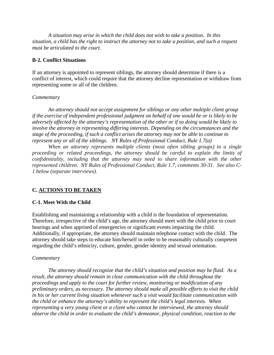*A situation may arise in which the child does not wish to take a position. In this situation, a child has the right to instruct the attorney not to take a position, and such a request must be articulated to the court.* 

# **B-2. Conflict Situations**

If an attorney is appointed to represent siblings, the attorney should determine if there is a conflict of interest, which could require that the attorney decline representation or withdraw from representing some or all of the children.

# *Commentary*

*An attorney should not accept assignment for siblings or any other multiple client group if the exercise of independent professional judgment on behalf of one would be or is likely to be adversely affected by the attorney's representation of the other or if so doing would be likely to involve the attorney in representing differing interests. Depending on the circumstances and the stage of the proceeding, if such a conflict arises the attorney may not be able to continue to represent any or all of the siblings. NY Rules of Professional Conduct, Rule 1.7(a)*

*When an attorney represents multiple clients (most often sibling groups) in a single proceeding or related proceedings, the attorney should be careful to explain the limits of confidentiality, including that the attorney may need to share information with the other represented children. NY Rules of Professional Conduct, Rule 1.7, comments 30-31. See also C-1 below (separate interviews).*

# **C. ACTIONS TO BE TAKEN**

# **C-1. Meet With the Child**

Establishing and maintaining a relationship with a child is the foundation of representation. Therefore, irrespective of the child's age, the attorney should meet with the child prior to court hearings and when apprised of emergencies or significant events impacting the child. Additionally, if appropriate, the attorney should maintain telephone contact with the child. The attorney should take steps to educate him/herself in order to be reasonably culturally competent regarding the child's ethnicity, culture, gender, gender identity and sexual orientation.

# *Commentary*

*The attorney should recognize that the child's situation and position may be fluid. As a result, the attorney should remain in close communication with the child throughout the proceedings and apply to the court for further review, monitoring or modification of any preliminary orders, as necessary. The attorney should make all possible efforts to visit the child in his or her current living situation whenever such a visit would facilitate communication with the child or enhance the attorney's ability to represent the child's legal interests. When representing a very young client or a client who cannot be interviewed, the attorney should observe the child in order to evaluate the child's demeanor, physical condition, reaction to the*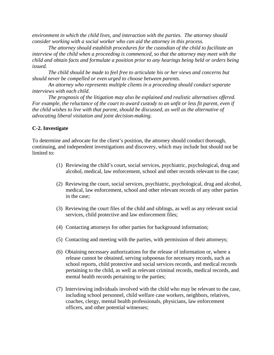*environment in which the child lives, and interaction with the parties. The attorney should consider working with a social worker who can aid the attorney in this process.*

*The attorney should establish procedures for the custodian of the child to facilitate an interview of the child when a proceeding is commenced, so that the attorney may meet with the child and obtain facts and formulate a position prior to any hearings being held or orders being issued.*

*The child should be made to feel free to articulate his or her views and concerns but should never be compelled or even urged to choose between parents.* 

*An attorney who represents multiple clients in a proceeding should conduct separate interviews with each child.*

*The prognosis of the litigation may also be explained and realistic alternatives offered. For example, the reluctance of the court to award custody to an unfit or less fit parent, even if the child wishes to live with that parent, should be discussed, as well as the alternative of advocating liberal visitation and joint decision-making.*

# **C-2. Investigate**

To determine and advocate for the client's position, the attorney should conduct thorough, continuing, and independent investigations and discovery, which may include but should not be limited to:

- (1) Reviewing the child's court, social services, psychiatric, psychological, drug and alcohol, medical, law enforcement, school and other records relevant to the case;
- (2) Reviewing the court, social services, psychiatric, psychological, drug and alcohol, medical, law enforcement, school and other relevant records of any other parties in the case;
- (3) Reviewing the court files of the child and siblings, as well as any relevant social services, child protective and law enforcement files;
- (4) Contacting attorneys for other parties for background information;
- (5) Contacting and meeting with the parties, with permission of their attorneys;
- (6) Obtaining necessary authorizations for the release of information or, where a release cannot be obtained, serving subpoenas for necessary records, such as school reports, child protective and social services records, and medical records pertaining to the child, as well as relevant criminal records, medical records, and mental health records pertaining to the parties;
- (7) Interviewing individuals involved with the child who may be relevant to the case, including school personnel, child welfare case workers, neighbors, relatives, coaches, clergy, mental health professionals, physicians, law enforcement officers, and other potential witnesses;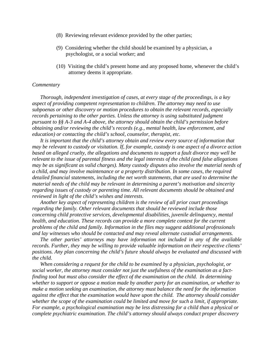- (8) Reviewing relevant evidence provided by the other parties;
- (9) Considering whether the child should be examined by a physician, a psychologist, or a social worker; and
- (10) Visiting the child's present home and any proposed home, whenever the child's attorney deems it appropriate.

*Thorough, independent investigation of cases, at every stage of the proceedings, is a key aspect of providing competent representation to children. The attorney may need to use subpoenas or other discovery or motion procedures to obtain the relevant records, especially records pertaining to the other parties. Unless the attorney is using substituted judgment pursuant to §§ A-3 and A-4 above, the attorney should obtain the child's permission before obtaining and/or reviewing the child's records (e.g., mental health, law enforcement, and education) or contacting the child's school, counselor, therapist, etc.*

*It is important that the child's attorney obtain and review every source of information that may be relevant to custody or visitation. If, for example, custody is one aspect of a divorce action based on alleged cruelty, the allegations and documents to support a fault divorce may well be relevant to the issue of parental fitness and the legal interests of the child (and false allegations may be as significant as valid charges). Many custody disputes also involve the material needs of a child, and may involve maintenance or a property distribution. In some cases, the required detailed financial statements, including the net worth statements, that are used to determine the material needs of the child may be relevant in determining a parent's motivation and sincerity regarding issues of custody or parenting time. All relevant documents should be obtained and reviewed in light of the child's wishes and interests.*

*Another key aspect of representing children is the review of all prior court proceedings regarding the family. Other relevant documents that should be reviewed include those concerning child protective services, developmental disabilities, juvenile delinquency, mental health, and education. These records can provide a more complete context for the current problems of the child and family. Information in the files may suggest additional professionals and lay witnesses who should be contacted and may reveal alternate custodial arrangements.*

*The other parties' attorneys may have information not included in any of the available records. Further, they may be willing to provide valuable information on their respective clients' positions. Any plan concerning the child's future should always be evaluated and discussed with the child.*

*When considering a request for the child to be examined by a physician, psychologist, or social worker, the attorney must consider not just the usefulness of the examination as a factfinding tool but must also consider the effect of the examination on the child. In determining whether to support or oppose a motion made by another party for an examination, or whether to make a motion seeking an examination, the attorney must balance the need for the information against the effect that the examination would have upon the child. The attorney should consider whether the scope of the examination could be limited and move for such a limit, if appropriate. For example, a psychological examination may be less distressing for a child than a physical or complete psychiatric examination. The child's attorney should always conduct proper discovery*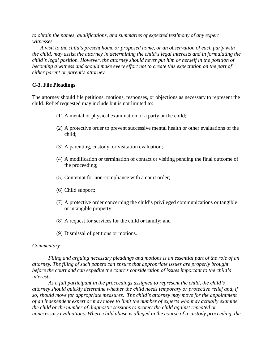*to obtain the names, qualifications, and summaries of expected testimony of any expert witnesses.*

*A visit to the child's present home or proposed home, or an observation of each party with the child, may assist the attorney in determining the child's legal interests and in formulating the child's legal position. However, the attorney should never put him or herself in the position of becoming a witness and should make every effort not to create this expectation on the part of either parent or parent's attorney.* 

# **C-3. File Pleadings**

The attorney should file petitions, motions, responses, or objections as necessary to represent the child. Relief requested may include but is not limited to:

- (1) A mental or physical examination of a party or the child;
- (2) A protective order to prevent successive mental health or other evaluations of the child;
- (3) A parenting, custody, or visitation evaluation;
- (4) A modification or termination of contact or visiting pending the final outcome of the proceeding;
- (5) Contempt for non-compliance with a court order;
- (6) Child support;
- (7) A protective order concerning the child's privileged communications or tangible or intangible property;
- (8) A request for services for the child or family; and
- (9) Dismissal of petitions or motions.

#### *Commentary*

*Filing and arguing necessary pleadings and motions is an essential part of the role of an attorney. The filing of such papers can ensure that appropriate issues are properly brought before the court and can expedite the court's consideration of issues important to the child's interests.*

*As a full participant in the proceedings assigned to represent the child, the child's attorney should quickly determine whether the child needs temporary or protective relief and, if so, should move for appropriate measures. The child's attorney may move for the appointment of an independent expert or may move to limit the number of experts who may actually examine the child or the number of diagnostic sessions to protect the child against repeated or unnecessary evaluations. Where child abuse is alleged in the course of a custody proceeding, the*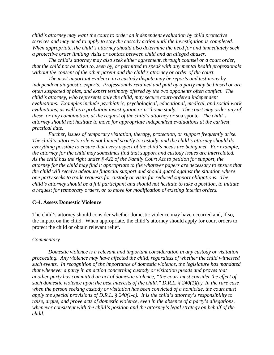*child's attorney may want the court to order an independent evaluation by child protective services and may need to apply to stay the custody action until the investigation is completed. When appropriate, the child's attorney should also determine the need for and immediately seek a protective order limiting visits or contact between child and an alleged abuser.* 

*The child's attorney may also seek either agreement, through counsel or a court order, that the child not be taken to, seen by, or permitted to speak with any mental health professionals without the consent of the other parent and the child's attorney or order of the court.* 

*The most important evidence in a custody dispute may be reports and testimony by independent diagnostic experts. Professionals retained and paid by a party may be biased or are often suspected of bias, and expert testimony offered by the two opponents often conflict. The child's attorney, who represents only the child, may secure court-ordered independent evaluations. Examples include psychiatric, psychological, educational, medical, and social work evaluations, as well as a probation investigation or a "home study." The court may order any of these, or any combination, at the request of the child's attorney or* sua sponte*. The child's attorney should not hesitate to move for appropriate independent evaluations at the earliest practical date.*

*Further, issues of temporary visitation, therapy, protection, or support frequently arise. The child's attorney's role is not limited strictly to custody, and the child's attorney should do everything possible to ensure that every aspect of the child's needs are being met. For example, the attorney for the child may sometimes find that support and custody issues are interrelated. As the child has the right under § 422 of the Family Court Act to petition for support, the attorney for the child may find it appropriate to file whatever papers are necessary to ensure that the child will receive adequate financial support and should guard against the situation where one party seeks to trade requests for custody or visits for reduced support obligations. The child's attorney should be a full participant and should not hesitate to take a position, to initiate a request for temporary orders, or to move for modification of existing interim orders.* 

#### **C-4. Assess Domestic Violence**

The child's attorney should consider whether domestic violence may have occurred and, if so, the impact on the child. When appropriate, the child's attorney should apply for court orders to protect the child or obtain relevant relief.

#### *Commentary*

*Domestic violence is a relevant and important consideration in any custody or visitation proceeding. Any violence may have affected the child, regardless of whether the child witnessed such events. In recognition of the importance of domestic violence, the legislature has mandated that whenever a party in an action concerning custody or visitation pleads and proves that another party has committed an act of domestic violence, "the court must consider the effect of such domestic violence upon the best interests of the child." D.R.L. § 240(1)(a). In the rare case when the person seeking custody or visitation has been convicted of a homicide, the court must apply the special provisions of D.R.L. § 240(1-c). It is the child's attorney's responsibility to raise, argue, and prove acts of domestic violence, even in the absence of a party's allegations, whenever consistent with the child's position and the attorney's legal strategy on behalf of the child.*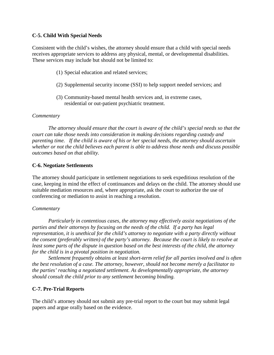# **C-5. Child With Special Needs**

Consistent with the child's wishes, the attorney should ensure that a child with special needs receives appropriate services to address any physical, mental, or developmental disabilities. These services may include but should not be limited to:

- (1) Special education and related services;
- (2) Supplemental security income (SSI) to help support needed services; and
- (3) Community-based mental health services and, in extreme cases, residential or out-patient psychiatric treatment.

# *Commentary*

*The attorney should ensure that the court is aware of the child's special needs so that the court can take those needs into consideration in making decisions regarding custody and parenting time. If the child is aware of his or her special needs, the attorney should ascertain whether or not the child believes each parent is able to address those needs and discuss possible outcomes based on that ability.*

# **C-6. Negotiate Settlements**

The attorney should participate in settlement negotiations to seek expeditious resolution of the case, keeping in mind the effect of continuances and delays on the child. The attorney should use suitable mediation resources and, where appropriate, ask the court to authorize the use of conferencing or mediation to assist in reaching a resolution.

#### *Commentary*

*Particularly in contentious cases, the attorney may effectively assist negotiations of the parties and their attorneys by focusing on the needs of the child. If a party has legal representation, it is unethical for the child's attorney to negotiate with a party directly without the consent (preferably written) of the party's attorney. Because the court is likely to resolve at least some parts of the dispute in question based on the best interests of the child, the attorney for the child is in a pivotal position in negotiation.*

*Settlement frequently obtains at least short-term relief for all parties involved and is often the best resolution of a case. The attorney, however, should not become merely a facilitator to the parties' reaching a negotiated settlement. As developmentally appropriate, the attorney should consult the child prior to any settlement becoming binding.*

#### **C-7. Pre-Trial Reports**

The child's attorney should not submit any pre-trial report to the court but may submit legal papers and argue orally based on the evidence.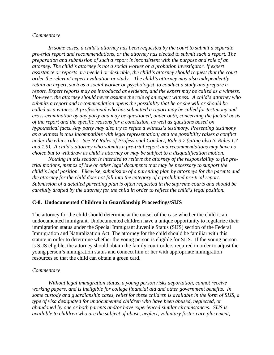*In some cases, a child's attorney has been requested by the court to submit a separate pre-trial report and recommendations, or the attorney has elected to submit such a report. The preparation and submission of such a report is inconsistent with the purpose and role of an attorney. The child's attorney is not a social worker or a probation investigator. If expert assistance or reports are needed or desirable, the child's attorney should request that the court order the relevant expert evaluation or study. The child's attorney may also independently retain an expert, such as a social worker or psychologist, to conduct a study and prepare a report. Expert reports may be introduced as evidence, and the expert may be called as a witness. However, the attorney should never assume the role of an expert witness. A child's attorney who submits a report and recommendation opens the possibility that he or she will or should be called as a witness. A professional who has submitted a report may be called for testimony and cross-examination by any party and may be questioned, under oath, concerning the factual basis of the report and the specific reasons for a conclusion, as well as questions based on hypothetical facts. Any party may also try to refute a witness's testimony. Presenting testimony as a witness is thus incompatible with legal representation; and the possibility raises a conflict under the ethics rules. See NY Rules of Professional Conduct, Rule 3.7 (citing also to Rules 1.7 and 1.9). A child's attorney who submits a pre-trial report and recommendations may have no choice but to withdraw as child's attorney or may be subject to a disqualification motion.*

*Nothing in this section is intended to relieve the attorney of the responsibility to file pretrial motions, memos of law or other legal documents that may be necessary to support the child's legal position. Likewise, submission of a parenting plan by attorneys for the parents and the attorney for the child does not fall into the category of a prohibited pre-trial report. Submission of a detailed parenting plan is often requested in the supreme courts and should be carefully drafted by the attorney for the child in order to reflect the child's legal position.*

#### **C-8. Undocumented Children in Guardianship Proceedings/SIJS**

The attorney for the child should determine at the outset of the case whether the child is an undocumented immigrant. Undocumented children have a unique opportunity to regularize their immigration status under the Special Immigrant Juvenile Status (SIJS) section of the Federal Immigration and Naturalization Act. The attorney for the child should be familiar with this statute in order to determine whether the young person is eligible for SIJS. If the young person is SIJS eligible, the attorney should obtain the family court orders required in order to adjust the young person's immigration status and connect him or her with appropriate immigration resources so that the child can obtain a green card.

#### *Commentary*

*Without legal immigration status, a young person risks deportation, cannot receive working papers, and is ineligible for college financial aid and other government benefits. In some custody and guardianship cases, relief for these children is available in the form of SIJS, a type of visa designated for undocumented children who have been abused, neglected, or abandoned by one or both parents and/or have experienced similar circumstances. SIJS is available to children who are the subject of abuse, neglect, voluntary foster care placement,*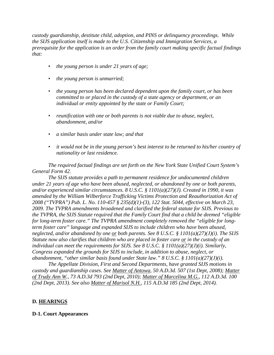*custody guardianship, destitute child, adoption, and PINS or delinquency proceedings. While the SIJS application itself is made to the U.S. Citizenship and Immigration Services, a prerequisite for the application is an order from the family court making specific factual findings that:*

- *the young person is under 21 years of age;*
- *the young person is unmarried;*
- *the young person has been declared dependent upon the family court, or has been committed to or placed in the custody of a state agency or department, or an individual or entity appointed by the state or Family Court;*
- *reunification with one or both parents is not viable due to abuse, neglect, abandonment, and/or*
- *a similar basis under state law; and that*
- *it would not be in the young person's best interest to be returned to his/her country of nationality or last residence.*

*The required factual findings are set forth on the New York State Unified Court System's General Form 42.*

*The SIJS statute provides a path to permanent residence for undocumented children under 21 years of age who have been abused, neglected, or abandoned by one or both parents, and/or experienced similar circumstances. 8 U.S.C. § 1101(a)(27)(J). Created in 1990, it was amended by the William Wilberforce Trafficking Victims Protection and Reauthorization Act of 2008 ("TVPRA") Pub. L. No. 110-457 § 235(d)(1)-(3), 122 Stat. 5044, effective on March 23, 2009. The TVPRA amendments broadened and clarified the federal statute for SIJS. Previous to the TVPRA, the SIJS Statute required that the Family Court find that a child be deemed "eligible for long-term foster care." The TVPRA amendment completely removed the "eligible for longterm foster care" language and expanded SIJS to include children who have been abused, neglected, and/or abandoned by one or both parents. See 8 U.S.C. § 1101(a)(27)(J)(i). The SIJS Statute now also clarifies that children who are placed in foster care or in the custody of an individual can meet the requirements for SIJS. See 8 U.S.C. § 1101(a)(27)(J)(i). Similarly, Congress expanded the grounds for SIJS to include, in addition to abuse, neglect, or abandonment, "other similar basis found under State law." 8 U.S.C. § 1101(a)(27)(J)(i).*

*The Appellate Division, First and Second Departments, have granted SIJS motions in custody and guardianship cases. See Matter of Antowa, 50 A.D.3d. 507 (1st Dept, 2008); Matter of Trudy Ann W., 73 A.D.3d 793 (2nd Dept, 2010); Matter of Marcelina M.G., 112 A.D.3d. 100 (2nd Dept, 2013). See also Matter of Marisol N.H., 115 A.D.3d 185 (2nd Dept, 2014).*

#### **D. HEARINGS**

#### **D-1. Court Appearances**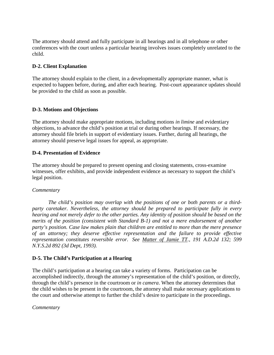The attorney should attend and fully participate in all hearings and in all telephone or other conferences with the court unless a particular hearing involves issues completely unrelated to the child.

# **D-2. Client Explanation**

The attorney should explain to the client, in a developmentally appropriate manner, what is expected to happen before, during, and after each hearing. Post-court appearance updates should be provided to the child as soon as possible.

# **D-3. Motions and Objections**

The attorney should make appropriate motions, including motions *in limine* and evidentiary objections, to advance the child's position at trial or during other hearings. If necessary, the attorney should file briefs in support of evidentiary issues. Further, during all hearings, the attorney should preserve legal issues for appeal, as appropriate.

#### **D-4. Presentation of Evidence**

The attorney should be prepared to present opening and closing statements, cross-examine witnesses, offer exhibits, and provide independent evidence as necessary to support the child's legal position.

#### *Commentary*

*The child's position may overlap with the positions of one or both parents or a thirdparty caretaker. Nevertheless, the attorney should be prepared to participate fully in every hearing and not merely defer to the other parties. Any identity of position should be based on the merits of the position (consistent with Standard B-1) and not a mere endorsement of another party's position. Case law makes plain that children are entitled to more than the mere presence of an attorney; they deserve effective representation and the failure to provide effective representation constitutes reversible error. See Matter of Jamie TT., 191 A.D.2d 132; 599 N.Y.S.2d 892 (3d Dept, 1993).*

#### **D-5. The Child's Participation at a Hearing**

The child's participation at a hearing can take a variety of forms. Participation can be accomplished indirectly, through the attorney's representation of the child's position, or directly, through the child's presence in the courtroom or *in camera*. When the attorney determines that the child wishes to be present in the courtroom, the attorney shall make necessary applications to the court and otherwise attempt to further the child's desire to participate in the proceedings.

#### *Commentary*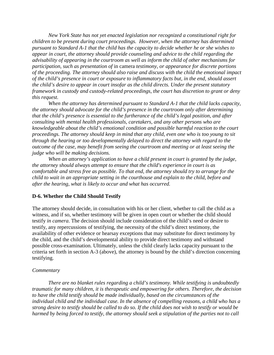*New York State has not yet enacted legislation nor recognized a constitutional right for children to be present during court proceedings. However, when the attorney has determined pursuant to Standard A-1 that the child has the capacity to decide whether he or she wishes to appear in court, the attorney should provide counseling and advice to the child regarding the advisability of appearing in the courtroom as well as inform the child of other mechanisms for participation, such as presentation of* in camera *testimony, or appearance for discrete portions of the proceeding. The attorney should also raise and discuss with the child the emotional impact of the child's presence in court or exposure to inflammatory facts but, in the end, should assert the child's desire to appear in court insofar as the child directs. Under the present statutory framework in custody and custody-related proceedings, the court has discretion to grant or deny this request.*

*When the attorney has determined pursuant to Standard A-1 that the child lacks capacity, the attorney should advocate for the child's presence in the courtroom only after determining that the child's presence is essential to the furtherance of the child's legal position, and after consulting with mental health professionals, caretakers, and any other persons who are knowledgeable about the child's emotional condition and possible harmful reaction to the court proceedings. The attorney should keep in mind that any child, even one who is too young to sit through the hearing or too developmentally delayed to direct the attorney with regard to the outcome of the case, may benefit from seeing the courtroom and meeting or at least seeing the judge who will be making decisions.* 

*When an attorney's application to have a child present in court is granted by the judge, the attorney should always attempt to ensure that the child's experience in court is as comfortable and stress free as possible. To that end, the attorney should try to arrange for the child to wait in an appropriate setting in the courthouse and explain to the child, before and after the hearing, what is likely to occur and what has occurred.* 

#### **D-6. Whether the Child Should Testify**

The attorney should decide, in consultation with his or her client, whether to call the child as a witness, and if so, whether testimony will be given in open court or whether the child should testify *in camera*. The decision should include consideration of the child's need or desire to testify, any repercussions of testifying, the necessity of the child's direct testimony, the availability of other evidence or hearsay exceptions that may substitute for direct testimony by the child, and the child's developmental ability to provide direct testimony and withstand possible cross-examination. Ultimately, unless the child clearly lacks capacity pursuant to the criteria set forth in section A-3 (above), the attorney is bound by the child's direction concerning testifying.

#### *Commentary*

*There are no blanket rules regarding a child's testimony. While testifying is undoubtedly traumatic for many children, it is therapeutic and empowering for others. Therefore, the decision to have the child testify should be made individually, based on the circumstances of the individual child and the individual case. In the absence of compelling reasons, a child who has a strong desire to testify should be called to do so. If the child does not wish to testify or would be harmed by being forced to testify, the attorney should seek a stipulation of the parties not to call*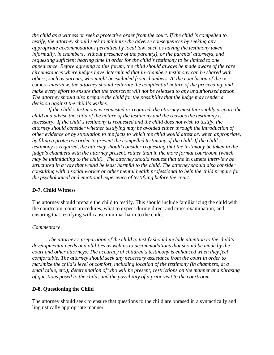*the child as a witness or seek a protective order from the court. If the child is compelled to testify, the attorney should seek to minimize the adverse consequences by seeking any appropriate accommodations permitted by local law, such as having the testimony taken informally, in chambers, without presence of the parent(s), or the parents' attorneys, and requesting sufficient hearing time in order for the child's testimony to be limited to one appearance. Before agreeing to this forum, the child should always be made aware of the rare circumstances where judges have determined that in-chambers testimony can be shared with others, such as parents, who might be excluded from chambers. At the conclusion of the* in camera *interview, the attorney should reiterate the confidential nature of the proceeding, and make every effort to ensure that the transcript will not be released to any unauthorized person. The attorney should also prepare the child for the possibility that the judge may render a decision against the child's wishes.*

*If the child's testimony is requested or required, the attorney must thoroughly prepare the child and advise the child of the nature of the testimony and the reasons the testimony is necessary. If the child's testimony is requested and the child does not wish to testify, the attorney should consider whether testifying may be avoided either through the introduction of other evidence or by stipulation to the facts to which the child would attest or, when appropriate, by filing a protective order to prevent the compelled testimony of the child. If the child's testimony is required, the attorney should consider requesting that the testimony be taken in the judge's chambers with the attorney present, rather than in the more formal courtroom (which may be intimidating to the child). The attorney should request that the in camera interview be structured in a way that would be least harmful to the child. The attorney should also consider consulting with a social worker or other mental health professional to help the child prepare for the psychological and emotional experience of testifying before the court.*

#### **D-7. Child Witness**

The attorney should prepare the child to testify. This should include familiarizing the child with the courtroom, court procedures, what to expect during direct and cross-examination, and ensuring that testifying will cause minimal harm to the child.

#### *Commentary*

*The attorney's preparation of the child to testify should include attention to the child's developmental needs and abilities as well as to accommodations that should be made by the court and other attorneys. The accuracy of children's testimony is enhanced when they feel comfortable. The attorney should seek any necessary assistance from the court in order to maximize the child's level of comfort, including location of the testimony (in chambers, at a small table, etc.); determination of who will be present; restrictions on the manner and phrasing of questions posed to the child; and the possibility of a prior visit to the courtroom.* 

#### **D-8. Questioning the Child**

The attorney should seek to ensure that questions to the child are phrased in a syntactically and linguistically appropriate manner.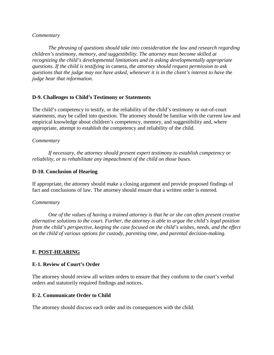*The phrasing of questions should take into consideration the law and research regarding children's testimony, memory, and suggestibility. The attorney must become skilled at recognizing the child's developmental limitations and in asking developmentally appropriate questions. If the child is testifying* in camera*, the attorney should request permission to ask questions that the judge may not have asked, whenever it is in the client's interest to have the judge hear that information.*

# **D-9. Challenges to Child's Testimony or Statements**

The child's competency to testify, or the reliability of the child's testimony or out-of-court statements, may be called into question. The attorney should be familiar with the current law and empirical knowledge about children's competency, memory, and suggestibility and, where appropriate, attempt to establish the competency and reliability of the child.

#### *Commentary*

*If necessary, the attorney should present expert testimony to establish competency or reliability, or to rehabilitate any impeachment of the child on those bases.* 

# **D-10. Conclusion of Hearing**

If appropriate, the attorney should make a closing argument and provide proposed findings of fact and conclusions of law. The attorney should ensure that a written order is entered.

#### *Commentary*

*One of the values of having a trained attorney is that he or she can often present creative alternative solutions to the court. Further, the attorney is able to argue the child's legal position from the child's perspective, keeping the case focused on the child's wishes, needs, and the effect on the child of various options for custody, parenting time, and parental decision-making.*

#### **E. POST-HEARING**

#### **E-1. Review of Court's Order**

The attorney should review all written orders to ensure that they conform to the court's verbal orders and statutorily required findings and notices.

#### **E-2. Communicate Order to Child**

The attorney should discuss each order and its consequences with the child.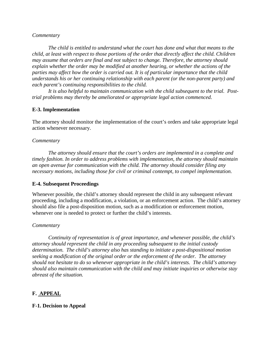*The child is entitled to understand what the court has done and what that means to the child, at least with respect to those portions of the order that directly affect the child. Children may assume that orders are final and not subject to change. Therefore, the attorney should explain whether the order may be modified at another hearing, or whether the actions of the parties may affect how the order is carried out. It is of particular importance that the child understands his or her continuing relationship with each parent (or the non-parent party) and each parent's continuing responsibilities to the child.*

*It is also helpful to maintain communication with the child subsequent to the trial. Posttrial problems may thereby be ameliorated or appropriate legal action commenced.*

# **E-3. Implementation**

The attorney should monitor the implementation of the court's orders and take appropriate legal action whenever necessary.

#### *Commentary*

*The attorney should ensure that the court's orders are implemented in a complete and timely fashion. In order to address problems with implementation, the attorney should maintain an open avenue for communication with the child. The attorney should consider filing any necessary motions, including those for civil or criminal contempt, to compel implementation.*

#### **E-4. Subsequent Proceedings**

Whenever possible, the child's attorney should represent the child in any subsequent relevant proceeding, including a modification, a violation, or an enforcement action. The child's attorney should also file a post-disposition motion, such as a modification or enforcement motion, whenever one is needed to protect or further the child's interests.

#### *Commentary*

*Continuity of representation is of great importance, and whenever possible, the child's attorney should represent the child in any proceeding subsequent to the initial custody determination. The child's attorney also has standing to initiate a post-dispositional motion seeking a modification of the original order or the enforcement of the order. The attorney should not hesitate to do so whenever appropriate in the child's interests. The child's attorney should also maintain communication with the child and may initiate inquiries or otherwise stay abreast of the situation.*

# **F. APPEAL**

#### **F-1. Decision to Appeal**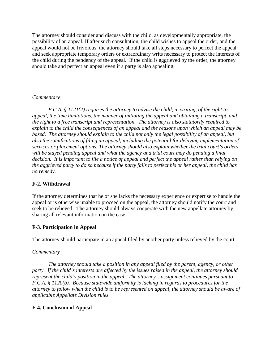The attorney should consider and discuss with the child, as developmentally appropriate, the possibility of an appeal. If after such consultation, the child wishes to appeal the order, and the appeal would not be frivolous, the attorney should take all steps necessary to perfect the appeal and seek appropriate temporary orders or extraordinary writs necessary to protect the interests of the child during the pendency of the appeal. If the child is aggrieved by the order, the attorney should take and perfect an appeal even if a party is also appealing.

# *Commentary*

*F.C.A. § 1121(2) requires the attorney to advise the child, in writing, of the right to appeal, the time limitations, the manner of initiating the appeal and obtaining a transcript, and the right to a free transcript and representation. The attorney is also statutorily required to explain to the child the consequences of an appeal and the reasons upon which an appeal may be based. The attorney should explain to the child not only the legal possibility of an appeal, but also the ramifications of filing an appeal, including the potential for delaying implementation of services or placement options. The attorney should also explain whether the trial court's orders will be stayed pending appeal and what the agency and trial court may do pending a final decision. It is important to file a notice of appeal and perfect the appeal rather than relying on the aggrieved party to do so because if the party fails to perfect his or her appeal, the child has no remedy.* 

# **F-2. Withdrawal**

If the attorney determines that he or she lacks the necessary experience or expertise to handle the appeal or is otherwise unable to proceed on the appeal, the attorney should notify the court and seek to be relieved. The attorney should always cooperate with the new appellate attorney by sharing all relevant information on the case.

# **F-3. Participation in Appeal**

The attorney should participate in an appeal filed by another party unless relieved by the court.

#### *Commentary*

*The attorney should take a position in any appeal filed by the parent, agency, or other party. If the child's interests are affected by the issues raised in the appeal, the attorney should represent the child's position in the appeal. The attorney's assignment continues pursuant to F.C.A. § 1120(b). Because statewide uniformity is lacking in regards to procedures for the attorney to follow when the child is to be represented on appeal, the attorney should be aware of applicable Appellate Division rules.* 

# **F-4. Conclusion of Appeal**